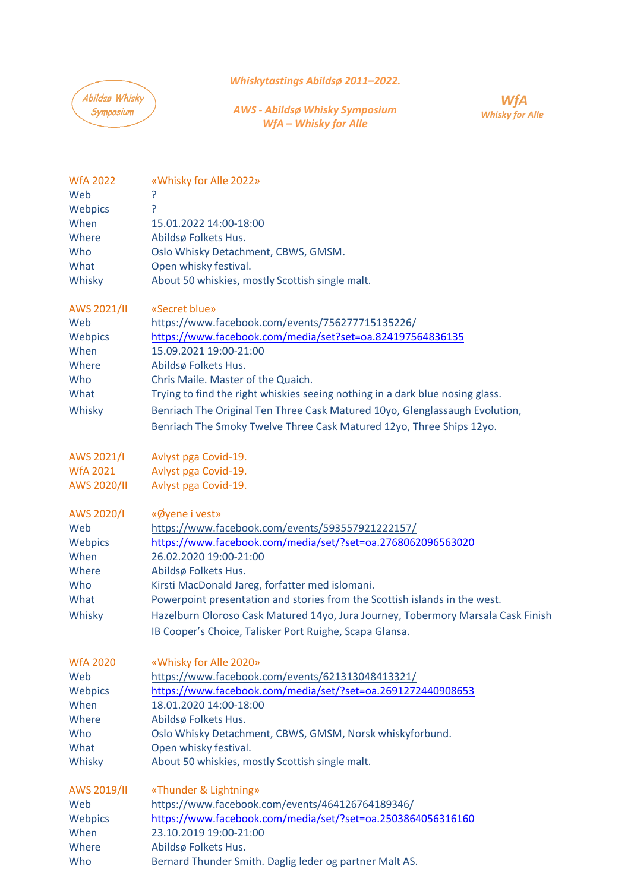## *[Whiskytastings](https://www.facebook.com/groups/164282963607626) Abildsø 2011–2022.*

Abildsø Whisky Symposium

*AWS - Abildsø Whisky Symposium WfA – Whisky for Alle*

WfA **Whisky for Alle** 

| <b>WfA 2022</b> | «Whisky for Alle 2022»                                                           |
|-----------------|----------------------------------------------------------------------------------|
| Web             | ?                                                                                |
| Webpics         | <sup>?</sup>                                                                     |
| When            | 15.01.2022 14:00-18:00                                                           |
| Where           | Abildsø Folkets Hus.                                                             |
| Who             | Oslo Whisky Detachment, CBWS, GMSM.                                              |
| What            | Open whisky festival.                                                            |
| Whisky          | About 50 whiskies, mostly Scottish single malt.                                  |
| AWS 2021/II     | «Secret blue»                                                                    |
| Web             | https://www.facebook.com/events/756277715135226/                                 |
| Webpics         | https://www.facebook.com/media/set?set=oa.824197564836135                        |
| When            | 15.09.2021 19:00-21:00                                                           |
| Where           | Abildsø Folkets Hus.                                                             |
| Who             | Chris Maile. Master of the Quaich.                                               |
| What            | Trying to find the right whiskies seeing nothing in a dark blue nosing glass.    |
| Whisky          | Benriach The Original Ten Three Cask Matured 10yo, Glenglassaugh Evolution,      |
|                 | Benriach The Smoky Twelve Three Cask Matured 12yo, Three Ships 12yo.             |
| AWS 2021/I      | Avlyst pga Covid-19.                                                             |
| <b>WfA 2021</b> | Avlyst pga Covid-19.                                                             |
| AWS 2020/II     | Avlyst pga Covid-19.                                                             |
| AWS 2020/I      | «Øyene i vest»                                                                   |
| Web             | https://www.facebook.com/events/593557921222157/                                 |
| Webpics         | https://www.facebook.com/media/set/?set=oa.2768062096563020                      |
| When            | 26.02.2020 19:00-21:00                                                           |
| Where           | Abildsø Folkets Hus.                                                             |
| Who             | Kirsti MacDonald Jareg, forfatter med islomani.                                  |
| What            | Powerpoint presentation and stories from the Scottish islands in the west.       |
| Whisky          | Hazelburn Oloroso Cask Matured 14yo, Jura Journey, Tobermory Marsala Cask Finish |
|                 | IB Cooper's Choice, Talisker Port Ruighe, Scapa Glansa.                          |
| <b>WfA 2020</b> | «Whisky for Alle 2020»                                                           |
| Web             | https://www.facebook.com/events/621313048413321/                                 |
| Webpics         | https://www.facebook.com/media/set/?set=oa.2691272440908653                      |
| When            | 18.01.2020 14:00-18:00                                                           |
| Where           | Abildsø Folkets Hus.                                                             |
| Who             | Oslo Whisky Detachment, CBWS, GMSM, Norsk whiskyforbund.                         |
| What            | Open whisky festival.                                                            |
| Whisky          | About 50 whiskies, mostly Scottish single malt.                                  |
| AWS 2019/II     | «Thunder & Lightning»                                                            |
| Web             | https://www.facebook.com/events/464126764189346/                                 |
| Webpics         | https://www.facebook.com/media/set/?set=oa.2503864056316160                      |
| When            | 23.10.2019 19:00-21:00                                                           |
| Where           | Abildsø Folkets Hus.                                                             |
| Who             | Bernard Thunder Smith. Daglig leder og partner Malt AS.                          |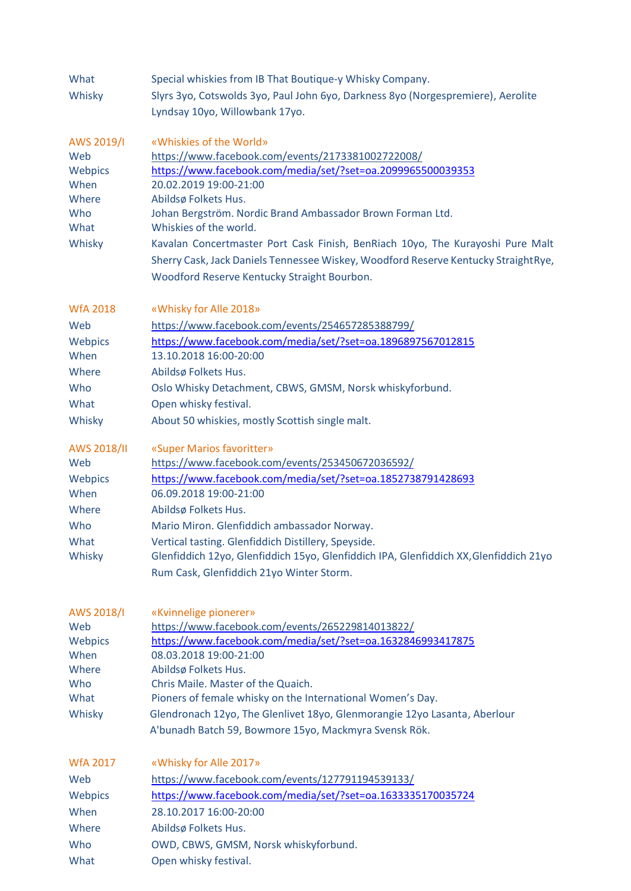| What            | Special whiskies from IB That Boutique-y Whisky Company.                              |  |  |
|-----------------|---------------------------------------------------------------------------------------|--|--|
| Whisky          | Slyrs 3yo, Cotswolds 3yo, Paul John 6yo, Darkness 8yo (Norgespremiere), Aerolite      |  |  |
|                 | Lyndsay 10yo, Willowbank 17yo.                                                        |  |  |
|                 |                                                                                       |  |  |
| AWS 2019/I      | «Whiskies of the World»                                                               |  |  |
| Web             | https://www.facebook.com/events/2173381002722008/                                     |  |  |
| Webpics         | https://www.facebook.com/media/set/?set=oa.2099965500039353                           |  |  |
| When            | 20.02.2019 19:00-21:00                                                                |  |  |
| Where           | Abildsø Folkets Hus.                                                                  |  |  |
| Who             | Johan Bergström. Nordic Brand Ambassador Brown Forman Ltd.                            |  |  |
| What            | Whiskies of the world.                                                                |  |  |
| Whisky          | Kavalan Concertmaster Port Cask Finish, BenRiach 10yo, The Kurayoshi Pure Malt        |  |  |
|                 | Sherry Cask, Jack Daniels Tennessee Wiskey, Woodford Reserve Kentucky StraightRye,    |  |  |
|                 | Woodford Reserve Kentucky Straight Bourbon.                                           |  |  |
|                 |                                                                                       |  |  |
| <b>WfA 2018</b> | «Whisky for Alle 2018»                                                                |  |  |
| Web             | https://www.facebook.com/events/254657285388799/                                      |  |  |
| Webpics         | https://www.facebook.com/media/set/?set=oa.1896897567012815                           |  |  |
| When            | 13.10.2018 16:00-20:00                                                                |  |  |
| Where           | Abildsø Folkets Hus.                                                                  |  |  |
| Who             | Oslo Whisky Detachment, CBWS, GMSM, Norsk whiskyforbund.                              |  |  |
| What            | Open whisky festival.                                                                 |  |  |
| Whisky          | About 50 whiskies, mostly Scottish single malt.                                       |  |  |
|                 |                                                                                       |  |  |
| AWS 2018/II     | «Super Marios favoritter»                                                             |  |  |
| Web             | https://www.facebook.com/events/253450672036592/                                      |  |  |
| Webpics         | https://www.facebook.com/media/set/?set=oa.1852738791428693                           |  |  |
| When            | 06.09.2018 19:00-21:00                                                                |  |  |
| Where           | Abildsø Folkets Hus.                                                                  |  |  |
| Who             | Mario Miron. Glenfiddich ambassador Norway.                                           |  |  |
| What            | Vertical tasting. Glenfiddich Distillery, Speyside.                                   |  |  |
| Whisky          | Glenfiddich 12yo, Glenfiddich 15yo, Glenfiddich IPA, Glenfiddich XX, Glenfiddich 21yo |  |  |
|                 | Rum Cask, Glenfiddich 21yo Winter Storm.                                              |  |  |
|                 |                                                                                       |  |  |
|                 |                                                                                       |  |  |
| AWS 2018/I      | «Kvinnelige pionerer»                                                                 |  |  |
| Web             | https://www.facebook.com/events/265229814013822/                                      |  |  |
| Webpics         | https://www.facebook.com/media/set/?set=oa.1632846993417875                           |  |  |
| When            | 08.03.2018 19:00-21:00                                                                |  |  |
| Where           | Abildsø Folkets Hus.<br>Chris Maile. Master of the Quaich.                            |  |  |
| Who<br>What     | Pioners of female whisky on the International Women's Day.                            |  |  |
|                 |                                                                                       |  |  |
| Whisky          | Glendronach 12yo, The Glenlivet 18yo, Glenmorangie 12yo Lasanta, Aberlour             |  |  |
|                 | A'bunadh Batch 59, Bowmore 15yo, Mackmyra Svensk Rök.                                 |  |  |
|                 |                                                                                       |  |  |
| <b>WfA 2017</b> | «Whisky for Alle 2017»                                                                |  |  |
| Web             | https://www.facebook.com/events/127791194539133/                                      |  |  |
| Webpics         | https://www.facebook.com/media/set/?set=oa.1633335170035724                           |  |  |
| When            | 28.10.2017 16:00-20:00                                                                |  |  |
| Where           | Abildsø Folkets Hus.                                                                  |  |  |
| Who             | OWD, CBWS, GMSM, Norsk whiskyforbund.                                                 |  |  |
| What            | Open whisky festival.                                                                 |  |  |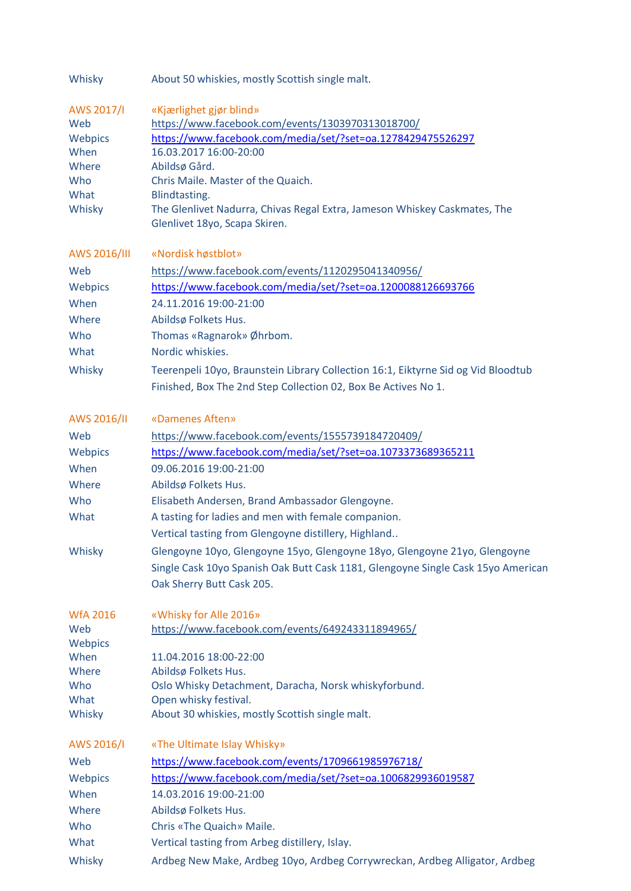| Whisky |  | About 50 whiskies, mostly Scottish single malt. |
|--------|--|-------------------------------------------------|
|--------|--|-------------------------------------------------|

| AWS 2017/I      | «Kjærlighet gjør blind»                                                           |
|-----------------|-----------------------------------------------------------------------------------|
| Web             | https://www.facebook.com/events/1303970313018700/                                 |
| Webpics         | https://www.facebook.com/media/set/?set=oa.1278429475526297                       |
| When            | 16.03.2017 16:00-20:00                                                            |
| Where           | Abildsø Gård.                                                                     |
| Who             | Chris Maile. Master of the Quaich.                                                |
| What            | Blindtasting.                                                                     |
| Whisky          | The Glenlivet Nadurra, Chivas Regal Extra, Jameson Whiskey Caskmates, The         |
|                 | Glenlivet 18yo, Scapa Skiren.                                                     |
| AWS 2016/III    | «Nordisk høstblot»                                                                |
| Web             | https://www.facebook.com/events/1120295041340956/                                 |
| Webpics         | https://www.facebook.com/media/set/?set=oa.1200088126693766                       |
| When            | 24.11.2016 19:00-21:00                                                            |
| Where           | Abildsø Folkets Hus.                                                              |
| Who             | Thomas «Ragnarok» Øhrbom.                                                         |
| What            | Nordic whiskies.                                                                  |
|                 |                                                                                   |
| Whisky          | Teerenpeli 10yo, Braunstein Library Collection 16:1, Eiktyrne Sid og Vid Bloodtub |
|                 | Finished, Box The 2nd Step Collection 02, Box Be Actives No 1.                    |
| AWS 2016/II     | «Damenes Aften»                                                                   |
| Web             | https://www.facebook.com/events/1555739184720409/                                 |
| Webpics         | https://www.facebook.com/media/set/?set=oa.1073373689365211                       |
| When            | 09.06.2016 19:00-21:00                                                            |
| Where           |                                                                                   |
|                 | Abildsø Folkets Hus.                                                              |
| Who             | Elisabeth Andersen, Brand Ambassador Glengoyne.                                   |
| What            | A tasting for ladies and men with female companion.                               |
|                 | Vertical tasting from Glengoyne distillery, Highland                              |
| Whisky          | Glengoyne 10yo, Glengoyne 15yo, Glengoyne 18yo, Glengoyne 21yo, Glengoyne         |
|                 | Single Cask 10yo Spanish Oak Butt Cask 1181, Glengoyne Single Cask 15yo American  |
|                 | Oak Sherry Butt Cask 205.                                                         |
| <b>WfA 2016</b> | «Whisky for Alle 2016»                                                            |
| Web             | https://www.facebook.com/events/649243311894965/                                  |
| Webpics         |                                                                                   |
| When            | 11.04.2016 18:00-22:00                                                            |
| Where           | Abildsø Folkets Hus.                                                              |
| Who             | Oslo Whisky Detachment, Daracha, Norsk whiskyforbund.                             |
| What            | Open whisky festival.                                                             |
| Whisky          | About 30 whiskies, mostly Scottish single malt.                                   |
| AWS 2016/I      | «The Ultimate Islay Whisky»                                                       |
| Web             | https://www.facebook.com/events/1709661985976718/                                 |
| Webpics         | https://www.facebook.com/media/set/?set=oa.1006829936019587                       |
| When            | 14.03.2016 19:00-21:00                                                            |
|                 |                                                                                   |
| Where           | Abildsø Folkets Hus.                                                              |
| Who             | Chris «The Quaich» Maile.                                                         |
| What            | Vertical tasting from Arbeg distillery, Islay.                                    |
| Whisky          | Ardbeg New Make, Ardbeg 10yo, Ardbeg Corrywreckan, Ardbeg Alligator, Ardbeg       |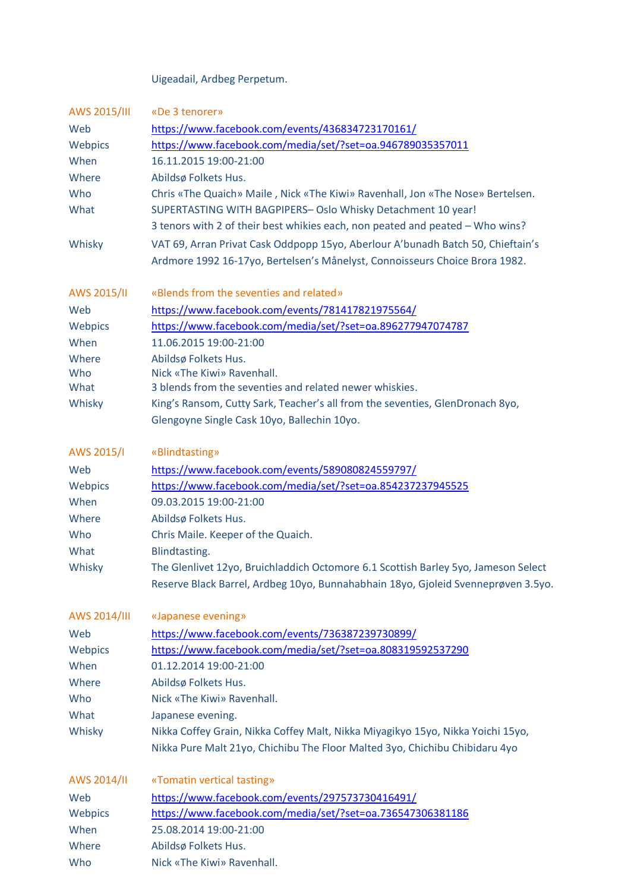Uigeadail, Ardbeg Perpetum.

| AWS 2015/III | «De 3 tenorer»                                                                     |
|--------------|------------------------------------------------------------------------------------|
| Web          | https://www.facebook.com/events/436834723170161/                                   |
| Webpics      | https://www.facebook.com/media/set/?set=oa.946789035357011                         |
| When         | 16.11.2015 19:00-21:00                                                             |
| Where        | Abildsø Folkets Hus.                                                               |
| Who          | Chris «The Quaich» Maile, Nick «The Kiwi» Ravenhall, Jon «The Nose» Bertelsen.     |
| What         | SUPERTASTING WITH BAGPIPERS- Oslo Whisky Detachment 10 year!                       |
|              | 3 tenors with 2 of their best whikies each, non peated and peated - Who wins?      |
|              | VAT 69, Arran Privat Cask Oddpopp 15yo, Aberlour A'bunadh Batch 50, Chieftain's    |
| Whisky       |                                                                                    |
|              | Ardmore 1992 16-17yo, Bertelsen's Månelyst, Connoisseurs Choice Brora 1982.        |
| AWS 2015/II  | «Blends from the seventies and related»                                            |
| Web          | https://www.facebook.com/events/781417821975564/                                   |
| Webpics      | https://www.facebook.com/media/set/?set=oa.896277947074787                         |
| When         | 11.06.2015 19:00-21:00                                                             |
| Where        | Abildsø Folkets Hus.                                                               |
| Who          | Nick «The Kiwi» Ravenhall.                                                         |
| What         | 3 blends from the seventies and related newer whiskies.                            |
| Whisky       | King's Ransom, Cutty Sark, Teacher's all from the seventies, GlenDronach 8yo,      |
|              | Glengoyne Single Cask 10yo, Ballechin 10yo.                                        |
| AWS 2015/I   | «Blindtasting»                                                                     |
| Web          | https://www.facebook.com/events/589080824559797/                                   |
| Webpics      | https://www.facebook.com/media/set/?set=oa.854237237945525                         |
| When         | 09.03.2015 19:00-21:00                                                             |
| Where        | Abildsø Folkets Hus.                                                               |
| Who          | Chris Maile. Keeper of the Quaich.                                                 |
| What         | Blindtasting.                                                                      |
| Whisky       | The Glenlivet 12yo, Bruichladdich Octomore 6.1 Scottish Barley 5yo, Jameson Select |
|              | Reserve Black Barrel, Ardbeg 10yo, Bunnahabhain 18yo, Gjoleid Svenneprøven 3.5yo.  |
| AWS 2014/III | «Japanese evening»                                                                 |
| Web          | https://www.facebook.com/events/736387239730899/                                   |
| Webpics      | https://www.facebook.com/media/set/?set=oa.808319592537290                         |
| When         | 01.12.2014 19:00-21:00                                                             |
| Where        | Abildsø Folkets Hus.                                                               |
| Who          | Nick «The Kiwi» Ravenhall.                                                         |
| What         | Japanese evening.                                                                  |
| Whisky       | Nikka Coffey Grain, Nikka Coffey Malt, Nikka Miyagikyo 15yo, Nikka Yoichi 15yo,    |
|              | Nikka Pure Malt 21yo, Chichibu The Floor Malted 3yo, Chichibu Chibidaru 4yo        |
| AWS 2014/II  | «Tomatin vertical tasting»                                                         |
| Web          | https://www.facebook.com/events/297573730416491/                                   |
| Webpics      | https://www.facebook.com/media/set/?set=oa.736547306381186                         |
| When         | 25.08.2014 19:00-21:00                                                             |
| Where        | Abildsø Folkets Hus.                                                               |
|              |                                                                                    |
| Who          | Nick «The Kiwi» Ravenhall.                                                         |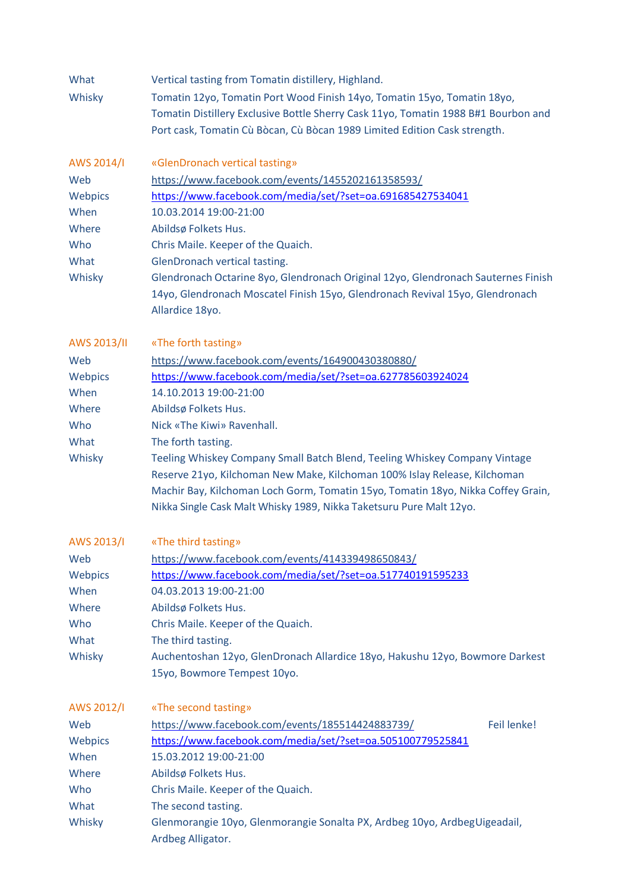| What<br>Whisky                                                          | Vertical tasting from Tomatin distillery, Highland.<br>Tomatin 12yo, Tomatin Port Wood Finish 14yo, Tomatin 15yo, Tomatin 18yo,<br>Tomatin Distillery Exclusive Bottle Sherry Cask 11yo, Tomatin 1988 B#1 Bourbon and<br>Port cask, Tomatin Cù Bòcan, Cù Bòcan 1989 Limited Edition Cask strength.                                                                                                                                                                                                                                                                |  |
|-------------------------------------------------------------------------|-------------------------------------------------------------------------------------------------------------------------------------------------------------------------------------------------------------------------------------------------------------------------------------------------------------------------------------------------------------------------------------------------------------------------------------------------------------------------------------------------------------------------------------------------------------------|--|
| AWS 2014/I<br>Web<br>Webpics<br>When<br>Where<br>Who<br>What<br>Whisky  | «GlenDronach vertical tasting»<br>https://www.facebook.com/events/1455202161358593/<br>https://www.facebook.com/media/set/?set=oa.691685427534041<br>10.03.2014 19:00-21:00<br>Abildsø Folkets Hus.<br>Chris Maile. Keeper of the Quaich.<br>GlenDronach vertical tasting.<br>Glendronach Octarine 8yo, Glendronach Original 12yo, Glendronach Sauternes Finish<br>14yo, Glendronach Moscatel Finish 15yo, Glendronach Revival 15yo, Glendronach<br>Allardice 18yo.                                                                                               |  |
| AWS 2013/II<br>Web<br>Webpics<br>When<br>Where<br>Who<br>What<br>Whisky | «The forth tasting»<br>https://www.facebook.com/events/164900430380880/<br>https://www.facebook.com/media/set/?set=oa.627785603924024<br>14.10.2013 19:00-21:00<br>Abildsø Folkets Hus.<br>Nick «The Kiwi» Ravenhall.<br>The forth tasting.<br>Teeling Whiskey Company Small Batch Blend, Teeling Whiskey Company Vintage<br>Reserve 21yo, Kilchoman New Make, Kilchoman 100% Islay Release, Kilchoman<br>Machir Bay, Kilchoman Loch Gorm, Tomatin 15yo, Tomatin 18yo, Nikka Coffey Grain,<br>Nikka Single Cask Malt Whisky 1989, Nikka Taketsuru Pure Malt 12yo. |  |
| Web<br>Webpics<br>When<br>Where<br>Who<br>What<br>Whisky                | AWS 2013/I wThe third tasting»<br>https://www.facebook.com/events/414339498650843/<br>https://www.facebook.com/media/set/?set=oa.517740191595233<br>04.03.2013 19:00-21:00<br>Abildsø Folkets Hus.<br>Chris Maile. Keeper of the Quaich.<br>The third tasting.<br>Auchentoshan 12yo, GlenDronach Allardice 18yo, Hakushu 12yo, Bowmore Darkest<br>15yo, Bowmore Tempest 10yo.                                                                                                                                                                                     |  |
| AWS 2012/I<br>Web<br>Webpics<br>When<br>Where<br>Who<br>What<br>Whisky  | «The second tasting»<br>https://www.facebook.com/events/185514424883739/<br>Feil lenke!<br>https://www.facebook.com/media/set/?set=oa.505100779525841<br>15.03.2012 19:00-21:00<br>Abildsø Folkets Hus.<br>Chris Maile. Keeper of the Quaich.<br>The second tasting.<br>Glenmorangie 10yo, Glenmorangie Sonalta PX, Ardbeg 10yo, Ardbeg Uigeadail,<br>Ardbeg Alligator.                                                                                                                                                                                           |  |